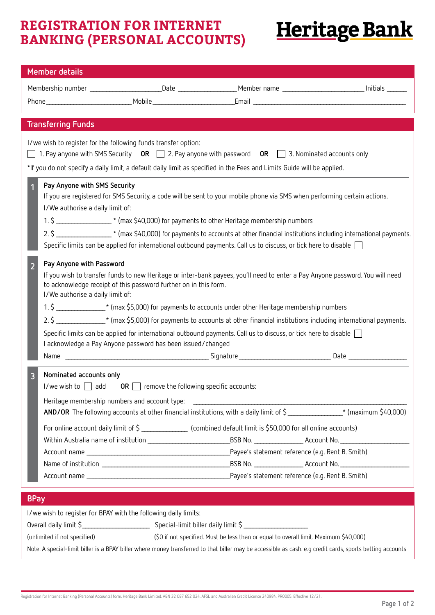## **REGISTRATION FOR INTERNET BANKING (PERSONAL ACCOUNTS)**

## **Heritage Bank**

| <b>Member details</b>                                                                                                                                                                                                                                                                                                                                                                                                                                                                                                                                                                                                                                                                                                    |                                                                                                                        |                                                                                                                                                                                                                                                    |  |  |  |  |
|--------------------------------------------------------------------------------------------------------------------------------------------------------------------------------------------------------------------------------------------------------------------------------------------------------------------------------------------------------------------------------------------------------------------------------------------------------------------------------------------------------------------------------------------------------------------------------------------------------------------------------------------------------------------------------------------------------------------------|------------------------------------------------------------------------------------------------------------------------|----------------------------------------------------------------------------------------------------------------------------------------------------------------------------------------------------------------------------------------------------|--|--|--|--|
|                                                                                                                                                                                                                                                                                                                                                                                                                                                                                                                                                                                                                                                                                                                          |                                                                                                                        |                                                                                                                                                                                                                                                    |  |  |  |  |
|                                                                                                                                                                                                                                                                                                                                                                                                                                                                                                                                                                                                                                                                                                                          |                                                                                                                        |                                                                                                                                                                                                                                                    |  |  |  |  |
|                                                                                                                                                                                                                                                                                                                                                                                                                                                                                                                                                                                                                                                                                                                          |                                                                                                                        |                                                                                                                                                                                                                                                    |  |  |  |  |
| <b>Transferring Funds</b>                                                                                                                                                                                                                                                                                                                                                                                                                                                                                                                                                                                                                                                                                                |                                                                                                                        |                                                                                                                                                                                                                                                    |  |  |  |  |
| I/we wish to register for the following funds transfer option:<br>1. Pay anyone with SMS Security OR $\Box$ 2. Pay anyone with password OR $\Box$ 3. Nominated accounts only<br>*If you do not specify a daily limit, a default daily limit as specified in the Fees and Limits Guide will be applied.                                                                                                                                                                                                                                                                                                                                                                                                                   |                                                                                                                        |                                                                                                                                                                                                                                                    |  |  |  |  |
|                                                                                                                                                                                                                                                                                                                                                                                                                                                                                                                                                                                                                                                                                                                          |                                                                                                                        |                                                                                                                                                                                                                                                    |  |  |  |  |
| Pay Anyone with SMS Security<br>If you are registered for SMS Security, a code will be sent to your mobile phone via SMS when performing certain actions.<br>I/We authorise a daily limit of:<br>1. \$ ___________________* (max \$40,000) for payments to other Heritage membership numbers                                                                                                                                                                                                                                                                                                                                                                                                                             |                                                                                                                        |                                                                                                                                                                                                                                                    |  |  |  |  |
| 2. \$ __________________* (max \$40,000) for payments to accounts at other financial institutions including international payments.                                                                                                                                                                                                                                                                                                                                                                                                                                                                                                                                                                                      |                                                                                                                        |                                                                                                                                                                                                                                                    |  |  |  |  |
|                                                                                                                                                                                                                                                                                                                                                                                                                                                                                                                                                                                                                                                                                                                          | Specific limits can be applied for international outbound payments. Call us to discuss, or tick here to disable $\Box$ |                                                                                                                                                                                                                                                    |  |  |  |  |
| Pay Anyone with Password<br>$\overline{2}$<br>If you wish to transfer funds to new Heritage or inter-bank payees, you'll need to enter a Pay Anyone password. You will need<br>to acknowledge receipt of this password further on in this form.<br>I/We authorise a daily limit of:<br>1. \$ __________________* (max \$5,000) for payments to accounts under other Heritage membership numbers<br>2. \$ _________________* (max \$5,000) for payments to accounts at other financial institutions including international payments.<br>Specific limits can be applied for international outbound payments. Call us to discuss, or tick here to disable [<br>I acknowledge a Pay Anyone password has been issued/changed |                                                                                                                        |                                                                                                                                                                                                                                                    |  |  |  |  |
|                                                                                                                                                                                                                                                                                                                                                                                                                                                                                                                                                                                                                                                                                                                          |                                                                                                                        |                                                                                                                                                                                                                                                    |  |  |  |  |
| Nominated accounts only<br>3<br>I/we wish to $\Box$ add OR $\Box$ remove the following specific accounts:                                                                                                                                                                                                                                                                                                                                                                                                                                                                                                                                                                                                                |                                                                                                                        | AND/OR The following accounts at other financial institutions, with a daily limit of \$_______________* (maximum \$40,000)<br>For online account daily limit of \$ _________________ (combined default limit is \$50,000 for all online accounts)  |  |  |  |  |
|                                                                                                                                                                                                                                                                                                                                                                                                                                                                                                                                                                                                                                                                                                                          |                                                                                                                        |                                                                                                                                                                                                                                                    |  |  |  |  |
|                                                                                                                                                                                                                                                                                                                                                                                                                                                                                                                                                                                                                                                                                                                          |                                                                                                                        |                                                                                                                                                                                                                                                    |  |  |  |  |
| <b>BPay</b>                                                                                                                                                                                                                                                                                                                                                                                                                                                                                                                                                                                                                                                                                                              |                                                                                                                        |                                                                                                                                                                                                                                                    |  |  |  |  |
| I/we wish to register for BPAY with the following daily limits:<br>(unlimited if not specified)                                                                                                                                                                                                                                                                                                                                                                                                                                                                                                                                                                                                                          |                                                                                                                        | (\$0 if not specified. Must be less than or equal to overall limit. Maximum \$40,000)<br>Note: A special-limit biller is a BPAY biller where money transferred to that biller may be accessible as cash. e.g credit cards, sports betting accounts |  |  |  |  |